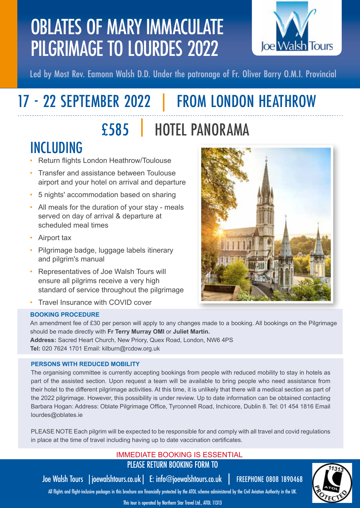## OBLATES OF MARY IMMACULATE PILGRIMAGE TO LOURDES 2022



Led by Most Rev. Eamonn Walsh D.D. Under the patronage of Fr. Oliver Barry O.M.I. Provincial

# 17 - 22 SEPTEMBER 2022 | FROM LONDON HEATHROW

## £585 | HOTEL PANORAMA

## INCLUDING

- Return flights London Heathrow/Toulouse
- Transfer and assistance between Toulouse airport and your hotel on arrival and departure
- 5 nights' accommodation based on sharing
- All meals for the duration of your stay meals served on day of arrival & departure at scheduled meal times
- Airport tax
- Pilgrimage badge, luggage labels itinerary and pilgrim's manual
- Representatives of Joe Walsh Tours will ensure all pilgrims receive a very high standard of service throughout the pilgrimage
- Travel Insurance with COVID cover

### **BOOKING PROCEDURE**

An amendment fee of £30 per person will apply to any changes made to a booking. All bookings on the Pilgrimage should be made directly with **Fr Terry Murray OMI** or **Juliet Martin. Address:** Sacred Heart Church, New Priory, Quex Road, London, NW6 4PS **Tel:** 020 7624 1701 Email: kilburn@rcdow.org.uk

### **PERSONS WITH REDUCED MOBILITY**

The organising committee is currently accepting bookings from people with reduced mobility to stay in hotels as part of the assisted section. Upon request a team will be available to bring people who need assistance from their hotel to the different pilgrimage activities. At this time, it is unlikely that there will a medical section as part of the 2022 pilgrimage. However, this possibility is under review. Up to date information can be obtained contacting Barbara Hogan: Address: Oblate Pilgrimage Office, Tyrconnell Road, Inchicore, Dublin 8. Tel: 01 454 1816 Email lourdes@oblates.ie

PLEASE NOTE Each pilgrim will be expected to be responsible for and comply with all travel and covid regulations in place at the time of travel including having up to date vaccination certificates.

### IMMEDIATE BOOKING IS ESSENTIAL PLEASE RETURN BOOKING FORM TO

Joe Walsh Tours |joewalshtours.co.uk| E: info@joewalshtours.co.uk | FREEPHONE 0808 1890468

All flights and flight-inclusive packages in this brochure are financially protected by the ATOL scheme administered by the Civil Aviation Authority in the UK.

This tour is operated by Northern Star Travel Ltd., ATOL 11313

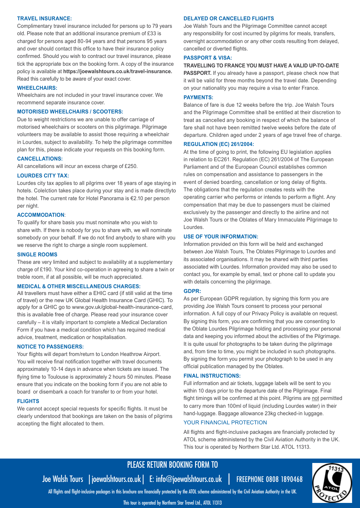#### **TRAVEL INSURANCE:**

Complimentary travel insurance included for persons up to 79 years old. Please note that an additional insurance premium of £33 is charged for persons aged 80-94 years and that persons 95 years and over should contact this office to have their insurance policy confirmed. Should you wish to contract our travel insurance, please tick the appropriate box on the booking form. A copy of the insurance policy is available at **https://joewalshtours.co.uk/travel-insurance.**  Read this carefully to be aware of your exact cover.

#### **WHEELCHAIRS:**

Wheelchairs are not included in your travel insurance cover. We recommend separate insurance cover.

#### **MOTORISED WHEELCHAIRS / SCOOTERS:**

Due to weight restrictions we are unable to offer carriage of motorised wheelchairs or scooters on this pilgrimage. Pilgrimage volunteers may be available to assist those requiring a wheelchair in Lourdes, subject to availability. To help the pilgrimage committee plan for this, please indicate your requests on this booking form.

#### **CANCELLATIONS:**

All cancellations will incur an excess charge of £250.

#### **LOURDES CITY TAX:**

Lourdes city tax applies to all pilgrims over 18 years of age staying in hotels. Colelction takes place during your stay and is made directlyto the hotel. The current rate for Hotel Panorama is €2.10 per person per night.

#### **ACCOMMODATION**:

To qualify for share basis you must nominate who you wish to share with. If there is nobody for you to share with, we will nominate somebody on your behalf. If we do not find anybody to share with you we reserve the right to charge a single room supplement.

#### **SINGLE ROOMS**

These are very limited and subject to availability at a supplementary charge of £190. Your kind co-operation in agreeing to share a twin or treble room, if at all possible, will be much appreciated.

#### **MEDICAL & OTHER MISCELLANEOUS CHARGES:**

All travellers must have either a EHIC card (if still valid at the time of travel) or the new UK Global Health Insurance Card (GHIC). To apply for a GHIC go to www.gov.uk/global-health-insurance-card, this is available free of charge. Please read your insurance cover carefully – it is vitally important to complete a Medical Declaration Form if you have a medical condition which has required medical advice, treatment, medication or hospitalisation.

#### **NOTICE TO PASSENGERS:**

Your flights will depart from/return to London Heathrow Airport. You will receive final notification together with travel documents approximately 10-14 days in advance when tickets are issued. The flying time to Toulouse is approximately 2 hours 50 minutes. Please ensure that you indicate on the booking form if you are not able to board or disembark a coach for transfer to or from your hotel.

#### **FLIGHTS**

We cannot accept special requests for specific flights. It must be clearly understood that bookings are taken on the basis of pilgrims accepting the flight allocated to them.

#### **DELAYED OR CANCELLED FLIGHTS**

Joe Walsh Tours and the Pilgrimage Committee cannot accept any responsibility for cost incurred by pilgrims for meals, transfers, overnight accommodation or any other costs resulting from delayed, cancelled or diverted flights.

#### **PASSPORT & VISA:**

#### **TRAVELLING TO FRANCE YOU MUST HAVE A VALID UP-TO-DATE**

**PASSPORT.** If you already have a passport, please check now that it will be valid for three months beyond the travel date. Depending on your nationality you may require a visa to enter France.

#### **PAYMENTS:**

Balance of fare is due 12 weeks before the trip. Joe Walsh Tours and the Pilgrimage Committee shall be entitled at their discretion to treat as cancelled any booking in respect of which the balance of fare shall not have been remitted twelve weeks before the date of departure. Children aged under 2 years of age travel free of charge.

#### **REGULATION (EC) 261/2004:**

At the time of going to print, the following EU legislation applies in relation to EC261. Regulation (EC) 261/2004 of The European Parliament and of the European Council establishes common rules on compensation and assistance to passengers in the event of denied boarding, cancellation or long delay of flights. The obligations that the regulation creates rests with the operating carrier who performs or intends to perform a flight. Any compensation that may be due to passengers must be claimed exclusively by the passenger and directly to the airline and not Joe Walsh Tours or the Oblates of Mary Immaculate Pilgrimage to Lourdes.

#### **USE OF YOUR INFORMATION:**

Information provided on this form will be held and exchanged between Joe Walsh Tours, The Oblates Pilgrimage to Lourdes and its associated organisations. It may be shared with third parties associated with Lourdes. Information provided may also be used to contact you, for example by email, text or phone call to update you with details concerning the pilgrimage.

#### **GDPR:**

As per European GDPR regulation, by signing this form you are providing Joe Walsh Tours consent to process your personal information. A full copy of our Privacy Policy is available on request. By signing this form, you are confirming that you are consenting to the Oblate Lourdes Pilgrimage holding and processing your personal data and keeping you informed about the activities of the Pilgrimage. It is quite usual for photographs to be taken during the pilgrimage and, from time to time, you might be included in such photographs. By signing the form you permit your photograph to be used in any official publication managed by the Oblates.

#### **FINAL INSTRUCTIONS:**

Full information and air tickets, luggage labels will be sent to you within 10 days prior to the departure date of the Pilgrimage. Final flight timings will be confirmed at this point. Pilgrims are not permitted to carry more than 100ml of liquid (including Lourdes water) in their hand-luggage. Baggage allowance 23kg checked-in luggage.

#### YOUR FINANCIAL PROTECTION

All flights and flight-inclusive packages are financially protected by ATOL scheme administered by the Civil Aviation Authority in the UK. This tour is operated by Northern Star Ltd. ATOL 11313.

### PLEASE RETURN BOOKING FORM TO

Joe Walsh Tours |joewalshtours.co.uk| E: info@joewalshtours.co.uk | FREEPHONE 0808 1890468

All flights and flight-inclusive packages in this brochure are financially protected by the ATOL scheme administered by the Civil Aviation Authority in the UK.

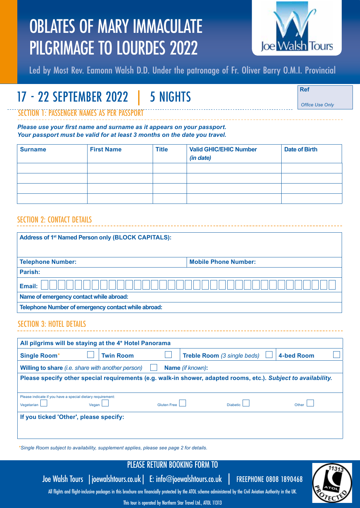## OBLATES OF MARY IMMACULATE PILGRIMAGE TO LOURDES 2022



Led by Most Rev. Eamonn Walsh D.D. Under the patronage of Fr. Oliver Barry O.M.I. Provincial

## 17 - 22 SEPTEMBER 2022 | 5 NIGHTS **Ref**

*Office Use Only*

SECTION 1: PASSENGER NAMES AS PER PASSPORT

*Please use your first name and surname as it appears on your passport. Your passport must be valid for at least 3 months on the date you travel.*

| <b>Surname</b> | <b>First Name</b> | <b>Title</b> | <b>Valid GHIC/EHIC Number</b><br>(in date) | <b>Date of Birth</b> |
|----------------|-------------------|--------------|--------------------------------------------|----------------------|
|                |                   |              |                                            |                      |
|                |                   |              |                                            |                      |
|                |                   |              |                                            |                      |
|                |                   |              |                                            |                      |

### SECTION 2: CONTACT DETAILS

| Address of 1 <sup>st</sup> Named Person only (BLOCK CAPITALS): |                  |                                                                                                                |
|----------------------------------------------------------------|------------------|----------------------------------------------------------------------------------------------------------------|
|                                                                |                  |                                                                                                                |
| <b>Telephone Number:</b>                                       |                  | <b>Mobile Phone Number:</b>                                                                                    |
| Parish:                                                        |                  |                                                                                                                |
| Email:                                                         |                  |                                                                                                                |
| Name of emergency contact while abroad:                        |                  |                                                                                                                |
| Telephone Number of emergency contact while abroad:            |                  |                                                                                                                |
| <b>SECTION 3: HOTEL DETAILS</b>                                |                  |                                                                                                                |
| All pilgrims will be staying at the 4* Hotel Panorama          |                  |                                                                                                                |
| <b>Single Room*</b>                                            | <b>Twin Room</b> | <b>4-bed Room</b><br>Treble Room (3 single beds)                                                               |
| Willing to share (i.e. share with another person)              |                  | Name (if known):                                                                                               |
|                                                                |                  | Please specify other special requirements (e.g. walk-in shower, adapted rooms, etc.). Subject to availability. |

| Please indicate if you have a special dietary requirement:<br>Vegetarian | Vegan L | Gluten Free | Diabetic L | Other |  |  |
|--------------------------------------------------------------------------|---------|-------------|------------|-------|--|--|
| If you ticked 'Other', please specify:                                   |         |             |            |       |  |  |
|                                                                          |         |             |            |       |  |  |

*\*Single Room subject to availability, supplement applies, please see page 2 for details.*

## PLEASE RETURN BOOKING FORM TO

Joe Walsh Tours |joewalshtours.co.uk| E: info@joewalshtours.co.uk | FREEPHONE 0808 1890468

All flights and flight-inclusive packages in this brochure are financially protected by the ATOL scheme administered by the Civil Aviation Authority in the UK.

This tour is operated by Northern Star Travel Ltd., ATOL 11313